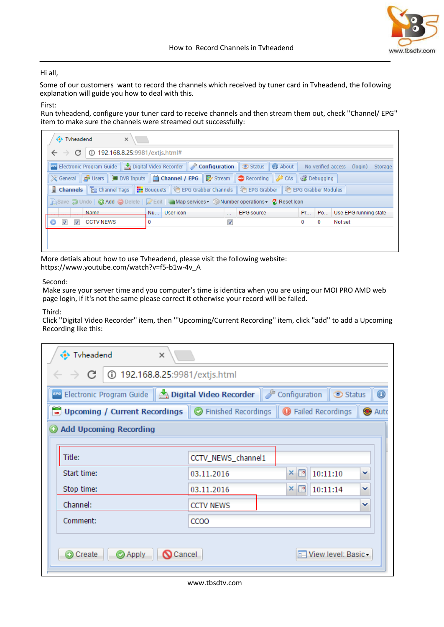

## Hi all,

Some of our customers want to record the channels which received by tuner card in Tvheadend, the following explanation will guide you how to deal with this.

### First:

Run tvheadend, configure your tuner card to receive channels and then stream them out, check ''Channel/ EPG'' item to make sure the channels were streamed out successfully:

| Tyheadend<br>$\times$                                                                                                                                                                                                          |              |                                |                          |                                 |
|--------------------------------------------------------------------------------------------------------------------------------------------------------------------------------------------------------------------------------|--------------|--------------------------------|--------------------------|---------------------------------|
| 192.168.8.25:9981/extjs.html#<br>C<br>$\leftarrow$ $\rightarrow$                                                                                                                                                               |              |                                |                          |                                 |
| <b>Example 2</b> Electronic Program Guide <b>4</b> Digital Video Recorder <b><i>P</i></b> Configuration <b>9</b> Status <b>0</b> About No verified access                                                                      |              |                                |                          | (login)<br>Storage              |
| ※ General A Users   ■ DVB Inputs   △ Channel / EPG   By Stream   ● Recording   ● CAs   ● Debugging                                                                                                                             |              |                                |                          |                                 |
| <b>B</b> Channels   & Channel Tags     Bouquets   第 EPG Grabber Channels   第 EPG Grabber   第 EPG Grabber Modules                                                                                                               |              |                                |                          |                                 |
| Reset Icon Conditional Conditional Conditional Conditions Conditions Conditions Conditions Conditions Conditions Conditions Conditions Conditions Conditions Conditions Conditions Conditions Conditions Conditions Conditions |              |                                |                          |                                 |
| Name                                                                                                                                                                                                                           | Nu User icon | <b>EPG</b> source<br>$\ddotsc$ |                          | Pr   Po   Use EPG running state |
| <b>CCTV NEWS</b><br>$\overline{v}$                                                                                                                                                                                             | 0            | √                              | $\bf{0}$<br>$\mathbf{0}$ | Not set                         |
|                                                                                                                                                                                                                                |              |                                |                          |                                 |
|                                                                                                                                                                                                                                |              |                                |                          |                                 |

More detials about how to use Tvheadend, please visit the following website: https://www.youtube.com/watch?v=f5-b1w-4v\_A

### Second:

Make sure your server time and you computer's time is identica when you are using our MOI PRO AMD web page login, if it's not the same please correct it otherwise your record will be failed.

#### Third:

Click ''Digital Video Recorder'' item, then '''Upcoming/Current Recording'' item, click ''add'' to add a Upcoming Recording like this:

| Tyheadend<br>$\times$                                                       |                    |                 |                        |                            |
|-----------------------------------------------------------------------------|--------------------|-----------------|------------------------|----------------------------|
| 192.168.8.25:9981/extjs.html<br>$\leftarrow$ $\rightarrow$ C                |                    |                 |                        |                            |
| Configuration Suide   A Digital Video Recorder   Configuration              |                    |                 | Status                 | $_{\tiny \textregistered}$ |
| Upcoming / Current Recordings   O Finished Recordings   O Failed Recordings |                    |                 |                        | Auto                       |
| <b>Add Upcoming Recording</b>                                               |                    |                 |                        |                            |
|                                                                             |                    |                 |                        |                            |
| Title:                                                                      | CCTV_NEWS_channel1 |                 |                        |                            |
| Start time:                                                                 | 03.11.2016         | ◚<br>×          | 10:11:10               | v                          |
| Stop time:                                                                  | 03.11.2016         | $\times$ $\sim$ | 10:11:14               | v                          |
| Channel:                                                                    | <b>CCTV NEWS</b>   |                 |                        | $\checkmark$               |
| Comment:                                                                    | CCOO               |                 |                        |                            |
| Create<br>Apply<br><b>O</b> Cancel                                          |                    |                 | Fill View level: Basic |                            |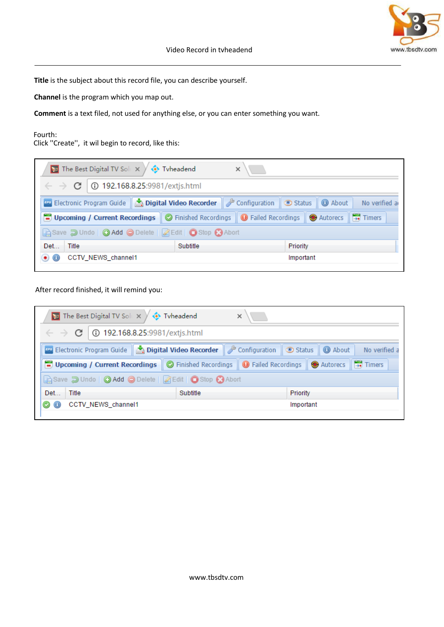

**Title** is the subject about this record file, you can describe yourself.

**Channel** is the program which you map out.

**Comment** is a text filed, not used for anything else, or you can enter something you want.

# Fourth:

Click ''Create'', it wil begin to record, like this:

|                     | <b>Ex</b> The Best Digital TV Soli $\times \bigvee \leftrightarrow$ Tyheadend |          |                                                                                                                                          |  |
|---------------------|-------------------------------------------------------------------------------|----------|------------------------------------------------------------------------------------------------------------------------------------------|--|
|                     | $\leftarrow$ $\rightarrow$ <b>C</b>   0 192.168.8.25:9981/extjs.html          |          |                                                                                                                                          |  |
|                     |                                                                               |          | <b>Property</b> Electronic Program Guide   <b>A Digital Video Recorder</b>   <b>P</b> Configuration   C Status   1 About   No verified a |  |
|                     |                                                                               |          | Dipcoming / Current Recordings   C Finished Recordings   O Failed Recordings   O Autorecs   B Timers                                     |  |
|                     | GSave J Undo   O Add O Delete   Z Edit   O Stop C Abort                       |          |                                                                                                                                          |  |
| Det                 | Title                                                                         | Subtitle | Priority                                                                                                                                 |  |
| $\bullet$ $\bullet$ | CCTV_NEWS_channel1                                                            |          | Important                                                                                                                                |  |
|                     |                                                                               |          |                                                                                                                                          |  |

# After record finished, it will remind you:

| $\leftarrow$ $\rightarrow$ <b>C</b>   0 192.168.8.25:9981/extjs.html<br><b>Example 2 Electronic Program Guide Nighted Video Recorder P</b> Configuration <b>C</b> Status <b>Q</b> About<br>Upcoming / Current Recordings   O Finished Recordings   O Failed Recordings   O Autorecs   B Timers<br>Gisave J Undo   O Add O Delete   Z Edit   O Stop C Abort<br>Det<br>Title<br>Subtitle<br>Priority |  | <b>Ex</b> The Best Digital TV Sole $\times \sqrt{\Leftrightarrow}$ Tyheadend | × |               |
|----------------------------------------------------------------------------------------------------------------------------------------------------------------------------------------------------------------------------------------------------------------------------------------------------------------------------------------------------------------------------------------------------|--|------------------------------------------------------------------------------|---|---------------|
|                                                                                                                                                                                                                                                                                                                                                                                                    |  |                                                                              |   |               |
|                                                                                                                                                                                                                                                                                                                                                                                                    |  |                                                                              |   | No verified a |
|                                                                                                                                                                                                                                                                                                                                                                                                    |  |                                                                              |   |               |
|                                                                                                                                                                                                                                                                                                                                                                                                    |  |                                                                              |   |               |
|                                                                                                                                                                                                                                                                                                                                                                                                    |  |                                                                              |   |               |
| C CTV_NEWS_channel1<br>Important                                                                                                                                                                                                                                                                                                                                                                   |  |                                                                              |   |               |